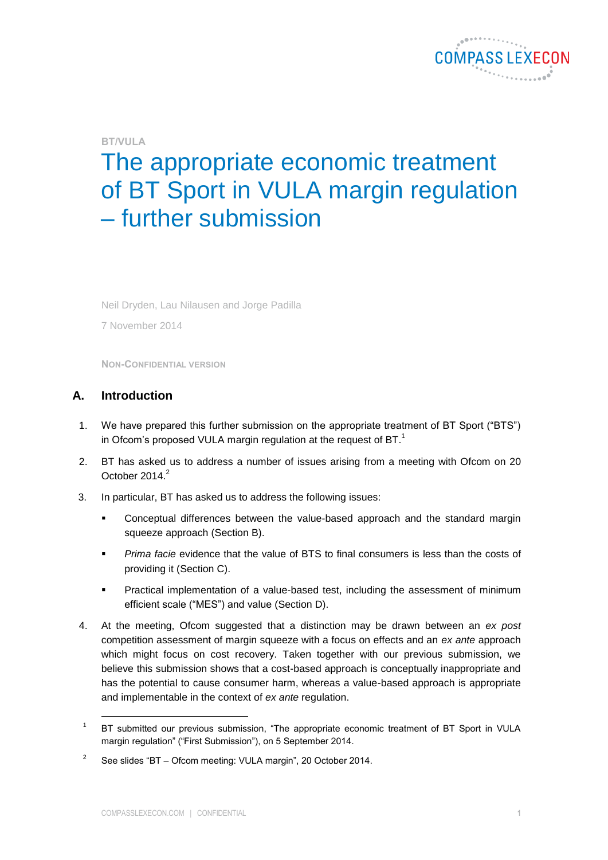

# **BT/VULA**

# The appropriate economic treatment of BT Sport in VULA margin regulation – further submission

Neil Dryden, Lau Nilausen and Jorge Padilla

7 November 2014

**NON-CONFIDENTIAL VERSION**

# **A. Introduction**

- 1. We have prepared this further submission on the appropriate treatment of BT Sport ("BTS") in Ofcom's proposed VULA margin regulation at the request of  $BT$ <sup>1</sup>
- 2. BT has asked us to address a number of issues arising from a meeting with Ofcom on 20 October 2014.<sup>2</sup>
- 3. In particular, BT has asked us to address the following issues:
	- Conceptual differences between the value-based approach and the standard margin squeeze approach (Section [B\)](#page-1-0).
	- *Prima facie* evidence that the value of BTS to final consumers is less than the costs of providing it (Section [C\)](#page-3-0).
	- Practical implementation of a value-based test, including the assessment of minimum efficient scale ("MES") and value (Section [D\)](#page-8-0).
- 4. At the meeting, Ofcom suggested that a distinction may be drawn between an *ex post* competition assessment of margin squeeze with a focus on effects and an *ex ante* approach which might focus on cost recovery. Taken together with our previous submission, we believe this submission shows that a cost-based approach is conceptually inappropriate and has the potential to cause consumer harm, whereas a value-based approach is appropriate and implementable in the context of *ex ante* regulation.

<sup>1</sup> BT submitted our previous submission, "The appropriate economic treatment of BT Sport in VULA margin regulation" ("First Submission"), on 5 September 2014.

 $\overline{2}$ See slides "BT – Ofcom meeting: VULA margin", 20 October 2014.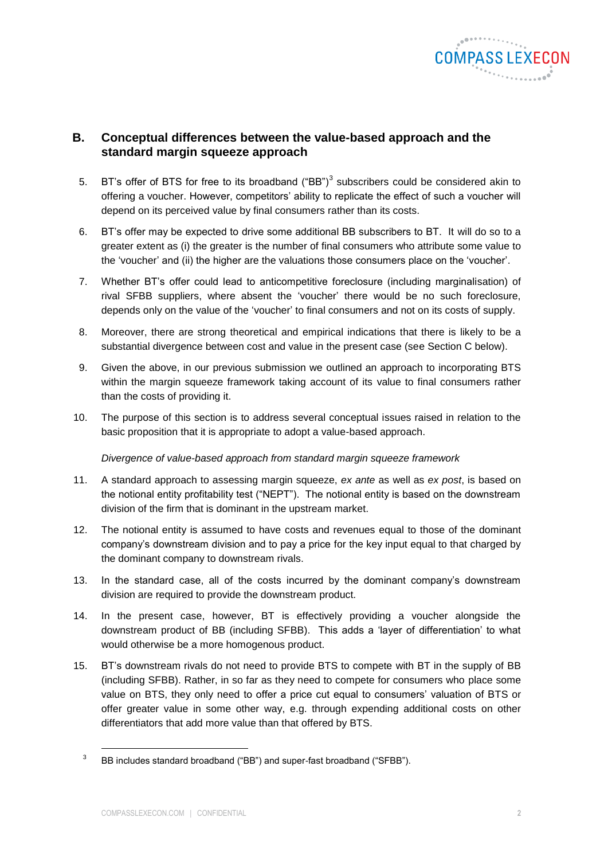

# <span id="page-1-0"></span>**B. Conceptual differences between the value-based approach and the standard margin squeeze approach**

- 5. BT's offer of BTS for free to its broadband ("BB")<sup>3</sup> subscribers could be considered akin to offering a voucher. However, competitors' ability to replicate the effect of such a voucher will depend on its perceived value by final consumers rather than its costs.
- 6. BT's offer may be expected to drive some additional BB subscribers to BT. It will do so to a greater extent as (i) the greater is the number of final consumers who attribute some value to the 'voucher' and (ii) the higher are the valuations those consumers place on the 'voucher'.
- 7. Whether BT's offer could lead to anticompetitive foreclosure (including marginalisation) of rival SFBB suppliers, where absent the 'voucher' there would be no such foreclosure, depends only on the value of the 'voucher' to final consumers and not on its costs of supply.
- 8. Moreover, there are strong theoretical and empirical indications that there is likely to be a substantial divergence between cost and value in the present case (see Section [C](#page-3-0) below).
- 9. Given the above, in our previous submission we outlined an approach to incorporating BTS within the margin squeeze framework taking account of its value to final consumers rather than the costs of providing it.
- 10. The purpose of this section is to address several conceptual issues raised in relation to the basic proposition that it is appropriate to adopt a value-based approach.

*Divergence of value-based approach from standard margin squeeze framework*

- 11. A standard approach to assessing margin squeeze, *ex ante* as well as *ex post*, is based on the notional entity profitability test ("NEPT"). The notional entity is based on the downstream division of the firm that is dominant in the upstream market.
- 12. The notional entity is assumed to have costs and revenues equal to those of the dominant company's downstream division and to pay a price for the key input equal to that charged by the dominant company to downstream rivals.
- 13. In the standard case, all of the costs incurred by the dominant company's downstream division are required to provide the downstream product.
- 14. In the present case, however, BT is effectively providing a voucher alongside the downstream product of BB (including SFBB). This adds a 'layer of differentiation' to what would otherwise be a more homogenous product.
- 15. BT's downstream rivals do not need to provide BTS to compete with BT in the supply of BB (including SFBB). Rather, in so far as they need to compete for consumers who place some value on BTS, they only need to offer a price cut equal to consumers' valuation of BTS or offer greater value in some other way, e.g. through expending additional costs on other differentiators that add more value than that offered by BTS.

<sup>3</sup> BB includes standard broadband ("BB") and super-fast broadband ("SFBB").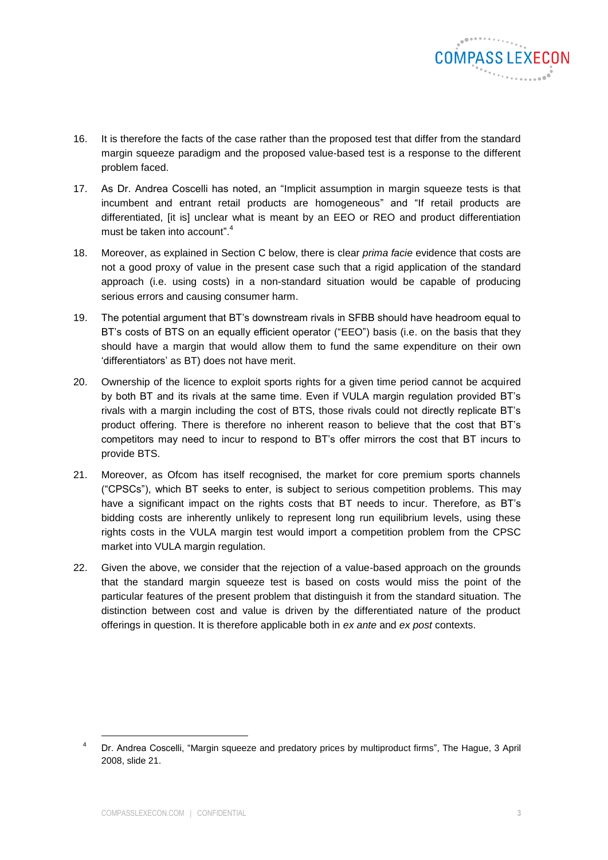

- 16. It is therefore the facts of the case rather than the proposed test that differ from the standard margin squeeze paradigm and the proposed value-based test is a response to the different problem faced.
- 17. As Dr. Andrea Coscelli has noted, an "Implicit assumption in margin squeeze tests is that incumbent and entrant retail products are homogeneous" and "If retail products are differentiated, [it is] unclear what is meant by an EEO or REO and product differentiation must be taken into account".<sup>4</sup>
- 18. Moreover, as explained in Section [C](#page-3-0) below, there is clear *prima facie* evidence that costs are not a good proxy of value in the present case such that a rigid application of the standard approach (i.e. using costs) in a non-standard situation would be capable of producing serious errors and causing consumer harm.
- 19. The potential argument that BT's downstream rivals in SFBB should have headroom equal to BT's costs of BTS on an equally efficient operator ("EEO") basis (i.e. on the basis that they should have a margin that would allow them to fund the same expenditure on their own 'differentiators' as BT) does not have merit.
- 20. Ownership of the licence to exploit sports rights for a given time period cannot be acquired by both BT and its rivals at the same time. Even if VULA margin regulation provided BT's rivals with a margin including the cost of BTS, those rivals could not directly replicate BT's product offering. There is therefore no inherent reason to believe that the cost that BT's competitors may need to incur to respond to BT's offer mirrors the cost that BT incurs to provide BTS.
- 21. Moreover, as Ofcom has itself recognised, the market for core premium sports channels ("CPSCs"), which BT seeks to enter, is subject to serious competition problems. This may have a significant impact on the rights costs that BT needs to incur. Therefore, as BT's bidding costs are inherently unlikely to represent long run equilibrium levels, using these rights costs in the VULA margin test would import a competition problem from the CPSC market into VULA margin regulation.
- 22. Given the above, we consider that the rejection of a value-based approach on the grounds that the standard margin squeeze test is based on costs would miss the point of the particular features of the present problem that distinguish it from the standard situation. The distinction between cost and value is driven by the differentiated nature of the product offerings in question. It is therefore applicable both in *ex ante* and *ex post* contexts.

<sup>&</sup>lt;sup>4</sup> Dr. Andrea Coscelli, "Margin squeeze and predatory prices by multiproduct firms", The Hague, 3 April 2008, slide 21.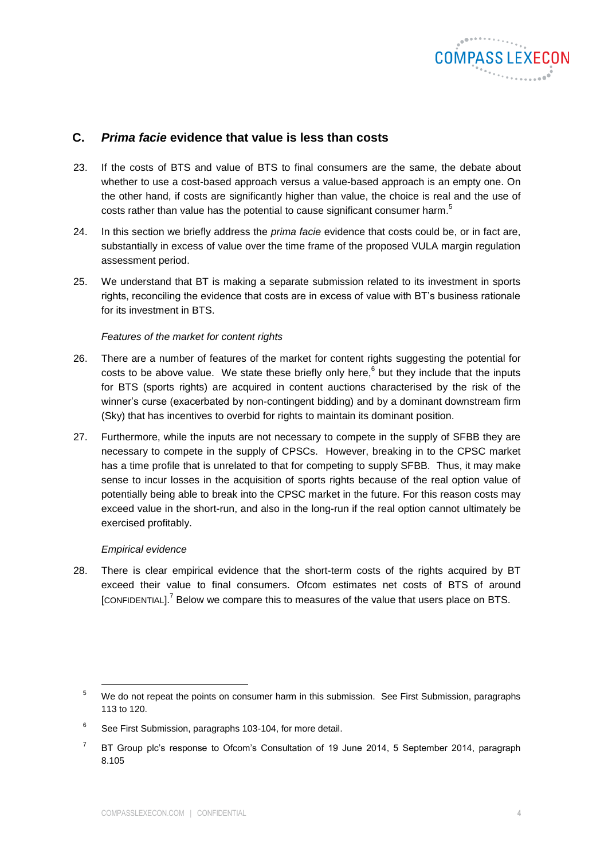

# <span id="page-3-0"></span>**C.** *Prima facie* **evidence that value is less than costs**

- 23. If the costs of BTS and value of BTS to final consumers are the same, the debate about whether to use a cost-based approach versus a value-based approach is an empty one. On the other hand, if costs are significantly higher than value, the choice is real and the use of costs rather than value has the potential to cause significant consumer harm.<sup>5</sup>
- 24. In this section we briefly address the *prima facie* evidence that costs could be, or in fact are, substantially in excess of value over the time frame of the proposed VULA margin regulation assessment period.
- 25. We understand that BT is making a separate submission related to its investment in sports rights, reconciling the evidence that costs are in excess of value with BT's business rationale for its investment in BTS

#### *Features of the market for content rights*

- 26. There are a number of features of the market for content rights suggesting the potential for costs to be above value. We state these briefly only here,  $6$  but they include that the inputs for BTS (sports rights) are acquired in content auctions characterised by the risk of the winner's curse (exacerbated by non-contingent bidding) and by a dominant downstream firm (Sky) that has incentives to overbid for rights to maintain its dominant position.
- 27. Furthermore, while the inputs are not necessary to compete in the supply of SFBB they are necessary to compete in the supply of CPSCs. However, breaking in to the CPSC market has a time profile that is unrelated to that for competing to supply SFBB. Thus, it may make sense to incur losses in the acquisition of sports rights because of the real option value of potentially being able to break into the CPSC market in the future. For this reason costs may exceed value in the short-run, and also in the long-run if the real option cannot ultimately be exercised profitably.

#### *Empirical evidence*

l

28. There is clear empirical evidence that the short-term costs of the rights acquired by BT exceed their value to final consumers. Ofcom estimates net costs of BTS of around [CONFIDENTIAL]. $^7$  Below we compare this to measures of the value that users place on BTS.

<sup>&</sup>lt;sup>5</sup> We do not repeat the points on consumer harm in this submission. See First Submission, paragraphs 113 to 120.

<sup>6</sup> See First Submission, paragraphs 103-104, for more detail.

<sup>7</sup> BT Group plc's response to Ofcom's Consultation of 19 June 2014, 5 September 2014, paragraph 8.105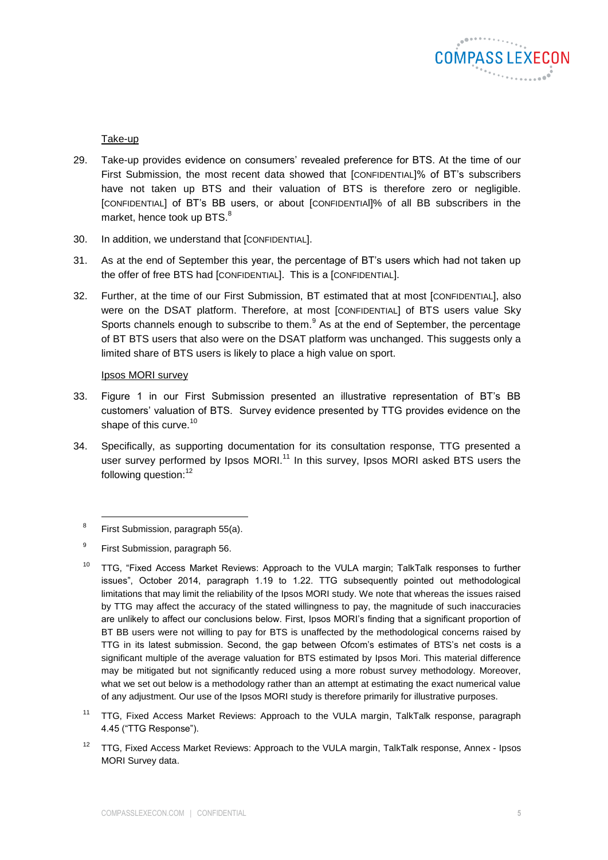

## <span id="page-4-0"></span>Take-up

- 29. Take-up provides evidence on consumers' revealed preference for BTS. At the time of our First Submission, the most recent data showed that [CONFIDENTIAL]% of BT's subscribers have not taken up BTS and their valuation of BTS is therefore zero or negligible. [CONFIDENTIAL] of BT's BB users, or about [CONFIDENTIAl]% of all BB subscribers in the market, hence took up BTS. $^{8}$
- 30. In addition, we understand that [CONFIDENTIAL].
- 31. As at the end of September this year, the percentage of BT's users which had not taken up the offer of free BTS had [CONFIDENTIAL]. This is a [CONFIDENTIAL].
- 32. Further, at the time of our First Submission, BT estimated that at most [CONFIDENTIAL], also were on the DSAT platform. Therefore, at most [CONFIDENTIAL] of BTS users value Sky Sports channels enough to subscribe to them.<sup>9</sup> As at the end of September, the percentage of BT BTS users that also were on the DSAT platform was unchanged. This suggests only a limited share of BTS users is likely to place a high value on sport.

#### Ipsos MORI survey

- 33. Figure 1 in our First Submission presented an illustrative representation of BT's BB customers' valuation of BTS. Survey evidence presented by TTG provides evidence on the shape of this curve.<sup>10</sup>
- 34. Specifically, as supporting documentation for its consultation response, TTG presented a user survey performed by Ipsos MORI.<sup>11</sup> In this survey, Ipsos MORI asked BTS users the following question:<sup>12</sup>

- <sup>10</sup> TTG, "Fixed Access Market Reviews: Approach to the VULA margin; TalkTalk responses to further issues", October 2014, paragraph 1.19 to 1.22. TTG subsequently pointed out methodological limitations that may limit the reliability of the Ipsos MORI study. We note that whereas the issues raised by TTG may affect the accuracy of the stated willingness to pay, the magnitude of such inaccuracies are unlikely to affect our conclusions below. First, Ipsos MORI's finding that a significant proportion of BT BB users were not willing to pay for BTS is unaffected by the methodological concerns raised by TTG in its latest submission. Second, the gap between Ofcom's estimates of BTS's net costs is a significant multiple of the average valuation for BTS estimated by Ipsos Mori. This material difference may be mitigated but not significantly reduced using a more robust survey methodology. Moreover, what we set out below is a methodology rather than an attempt at estimating the exact numerical value of any adjustment. Our use of the Ipsos MORI study is therefore primarily for illustrative purposes.
- <sup>11</sup> TTG, Fixed Access Market Reviews: Approach to the VULA margin, TalkTalk response, paragraph 4.45 ("TTG Response").
- <sup>12</sup> TTG, Fixed Access Market Reviews: Approach to the VULA margin, TalkTalk response, Annex Ipsos MORI Survey data.

<sup>8</sup> First Submission, paragraph 55(a).

<sup>9</sup> First Submission, paragraph 56.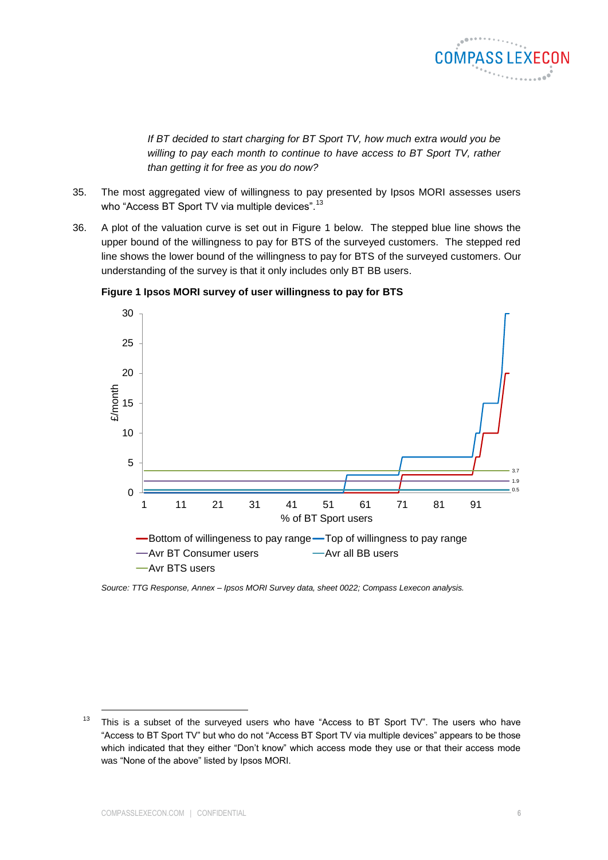

*If BT decided to start charging for BT Sport TV, how much extra would you be willing to pay each month to continue to have access to BT Sport TV, rather than getting it for free as you do now?*

- 35. The most aggregated view of willingness to pay presented by Ipsos MORI assesses users who "Access BT Sport TV via multiple devices".<sup>13</sup>
- 36. A plot of the valuation curve is set out in [Figure 1](#page-5-0) below. The stepped blue line shows the upper bound of the willingness to pay for BTS of the surveyed customers. The stepped red line shows the lower bound of the willingness to pay for BTS of the surveyed customers. Our understanding of the survey is that it only includes only BT BB users.



<span id="page-5-0"></span>**Figure 1 Ipsos MORI survey of user willingness to pay for BTS**

*Source: TTG Response, Annex – Ipsos MORI Survey data, sheet 0022; Compass Lexecon analysis.*

<sup>&</sup>lt;sup>13</sup> This is a subset of the surveyed users who have "Access to BT Sport TV". The users who have "Access to BT Sport TV" but who do not "Access BT Sport TV via multiple devices" appears to be those which indicated that they either "Don't know" which access mode they use or that their access mode was "None of the above" listed by Ipsos MORI.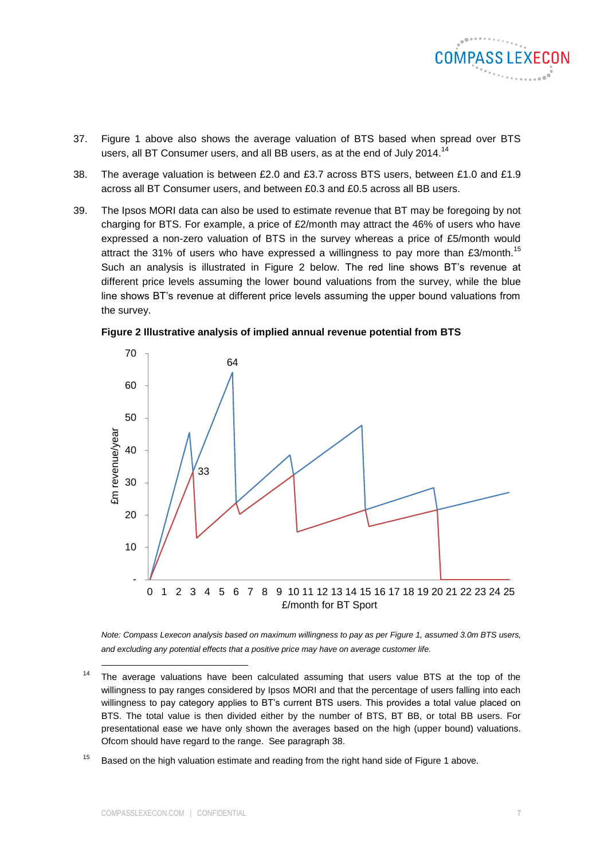

- 37. [Figure 1](#page-5-0) above also shows the average valuation of BTS based when spread over BTS users, all BT Consumer users, and all BB users, as at the end of July 2014.<sup>14</sup>
- <span id="page-6-1"></span>38. The average valuation is between £2.0 and £3.7 across BTS users, between £1.0 and £1.9 across all BT Consumer users, and between £0.3 and £0.5 across all BB users.
- 39. The Ipsos MORI data can also be used to estimate revenue that BT may be foregoing by not charging for BTS. For example, a price of £2/month may attract the 46% of users who have expressed a non-zero valuation of BTS in the survey whereas a price of £5/month would attract the 31% of users who have expressed a willingness to pay more than  $E3/m$ onth.<sup>15</sup> Such an analysis is illustrated in [Figure 2](#page-6-0) below. The red line shows BT's revenue at different price levels assuming the lower bound valuations from the survey, while the blue line shows BT's revenue at different price levels assuming the upper bound valuations from the survey.

<span id="page-6-0"></span>



*Note: Compass Lexecon analysis based on maximum willingness to pay as per [Figure 1,](#page-5-0) assumed 3.0m BTS users, and excluding any potential effects that a positive price may have on average customer life.*

 $15$  Based on the high valuation estimate and reading from the right hand side of [Figure 1](#page-5-0) above.

 $14$  The average valuations have been calculated assuming that users value BTS at the top of the willingness to pay ranges considered by Ipsos MORI and that the percentage of users falling into each willingness to pay category applies to BT's current BTS users. This provides a total value placed on BTS. The total value is then divided either by the number of BTS, BT BB, or total BB users. For presentational ease we have only shown the averages based on the high (upper bound) valuations. Ofcom should have regard to the range. See paragraph [38.](#page-6-1)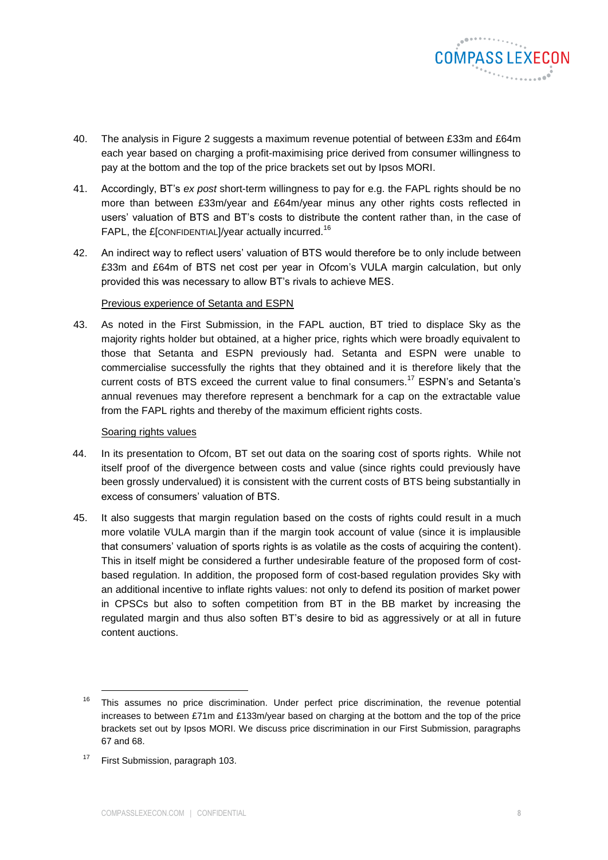

- 40. The analysis in [Figure 2](#page-6-0) suggests a maximum revenue potential of between £33m and £64m each year based on charging a profit-maximising price derived from consumer willingness to pay at the bottom and the top of the price brackets set out by Ipsos MORI.
- 41. Accordingly, BT's *ex post* short-term willingness to pay for e.g. the FAPL rights should be no more than between £33m/year and £64m/year minus any other rights costs reflected in users' valuation of BTS and BT's costs to distribute the content rather than, in the case of FAPL, the £[CONFIDENTIAL]/year actually incurred.<sup>16</sup>
- 42. An indirect way to reflect users' valuation of BTS would therefore be to only include between £33m and £64m of BTS net cost per year in Ofcom's VULA margin calculation, but only provided this was necessary to allow BT's rivals to achieve MES.

#### Previous experience of Setanta and ESPN

43. As noted in the First Submission, in the FAPL auction, BT tried to displace Sky as the majority rights holder but obtained, at a higher price, rights which were broadly equivalent to those that Setanta and ESPN previously had. Setanta and ESPN were unable to commercialise successfully the rights that they obtained and it is therefore likely that the current costs of BTS exceed the current value to final consumers.<sup>17</sup> ESPN's and Setanta's annual revenues may therefore represent a benchmark for a cap on the extractable value from the FAPL rights and thereby of the maximum efficient rights costs.

#### Soaring rights values

- 44. In its presentation to Ofcom, BT set out data on the soaring cost of sports rights. While not itself proof of the divergence between costs and value (since rights could previously have been grossly undervalued) it is consistent with the current costs of BTS being substantially in excess of consumers' valuation of BTS.
- 45. It also suggests that margin regulation based on the costs of rights could result in a much more volatile VULA margin than if the margin took account of value (since it is implausible that consumers' valuation of sports rights is as volatile as the costs of acquiring the content). This in itself might be considered a further undesirable feature of the proposed form of costbased regulation. In addition, the proposed form of cost-based regulation provides Sky with an additional incentive to inflate rights values: not only to defend its position of market power in CPSCs but also to soften competition from BT in the BB market by increasing the regulated margin and thus also soften BT's desire to bid as aggressively or at all in future content auctions.

 $16$  This assumes no price discrimination. Under perfect price discrimination, the revenue potential increases to between £71m and £133m/year based on charging at the bottom and the top of the price brackets set out by Ipsos MORI. We discuss price discrimination in our First Submission, paragraphs 67 and 68.

<sup>&</sup>lt;sup>17</sup> First Submission, paragraph 103.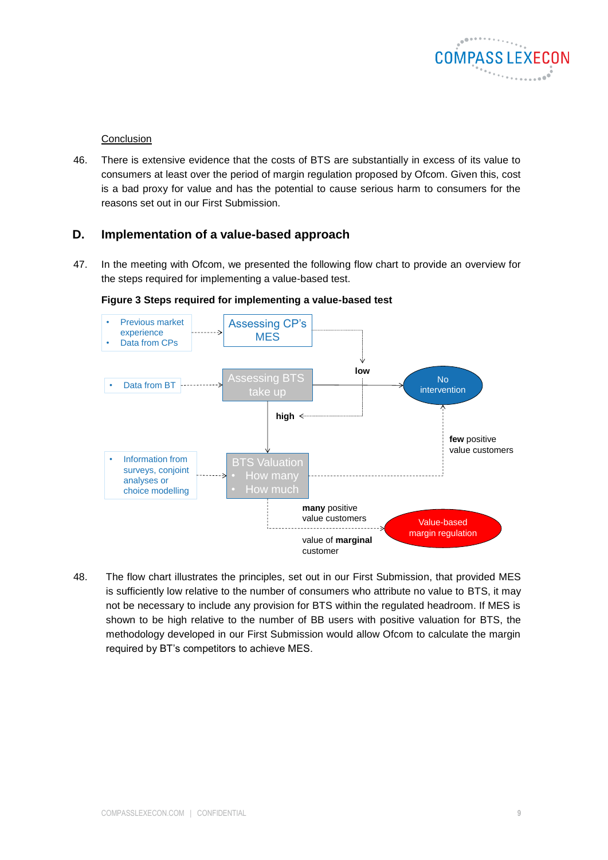

## Conclusion

46. There is extensive evidence that the costs of BTS are substantially in excess of its value to consumers at least over the period of margin regulation proposed by Ofcom. Given this, cost is a bad proxy for value and has the potential to cause serious harm to consumers for the reasons set out in our First Submission.

# <span id="page-8-0"></span>**D. Implementation of a value-based approach**

47. In the meeting with Ofcom, we presented the following flow chart to provide an overview for the steps required for implementing a value-based test.



**Figure 3 Steps required for implementing a value-based test**

48. The flow chart illustrates the principles, set out in our First Submission, that provided MES is sufficiently low relative to the number of consumers who attribute no value to BTS, it may not be necessary to include any provision for BTS within the regulated headroom. If MES is shown to be high relative to the number of BB users with positive valuation for BTS, the methodology developed in our First Submission would allow Ofcom to calculate the margin required by BT's competitors to achieve MES.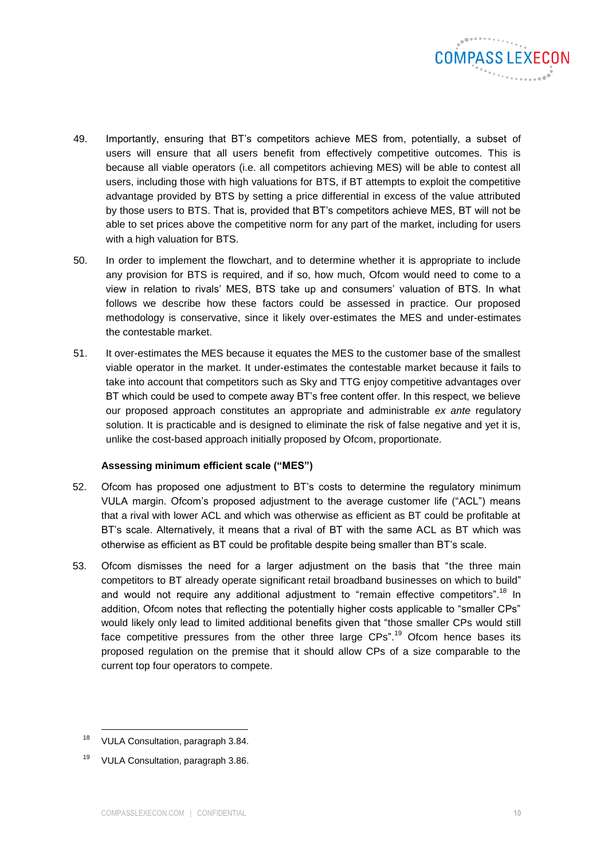

- 49. Importantly, ensuring that BT's competitors achieve MES from, potentially, a subset of users will ensure that all users benefit from effectively competitive outcomes. This is because all viable operators (i.e. all competitors achieving MES) will be able to contest all users, including those with high valuations for BTS, if BT attempts to exploit the competitive advantage provided by BTS by setting a price differential in excess of the value attributed by those users to BTS. That is, provided that BT's competitors achieve MES, BT will not be able to set prices above the competitive norm for any part of the market, including for users with a high valuation for BTS.
- 50. In order to implement the flowchart, and to determine whether it is appropriate to include any provision for BTS is required, and if so, how much, Ofcom would need to come to a view in relation to rivals' MES, BTS take up and consumers' valuation of BTS. In what follows we describe how these factors could be assessed in practice. Our proposed methodology is conservative, since it likely over-estimates the MES and under-estimates the contestable market.
- 51. It over-estimates the MES because it equates the MES to the customer base of the smallest viable operator in the market. It under-estimates the contestable market because it fails to take into account that competitors such as Sky and TTG enjoy competitive advantages over BT which could be used to compete away BT's free content offer. In this respect, we believe our proposed approach constitutes an appropriate and administrable *ex ante* regulatory solution. It is practicable and is designed to eliminate the risk of false negative and yet it is, unlike the cost-based approach initially proposed by Ofcom, proportionate.

#### **Assessing minimum efficient scale ("MES")**

- 52. Ofcom has proposed one adjustment to BT's costs to determine the regulatory minimum VULA margin. Ofcom's proposed adjustment to the average customer life ("ACL") means that a rival with lower ACL and which was otherwise as efficient as BT could be profitable at BT's scale. Alternatively, it means that a rival of BT with the same ACL as BT which was otherwise as efficient as BT could be profitable despite being smaller than BT's scale.
- 53. Ofcom dismisses the need for a larger adjustment on the basis that "the three main competitors to BT already operate significant retail broadband businesses on which to build" and would not require any additional adjustment to "remain effective competitors".<sup>18</sup> In addition, Ofcom notes that reflecting the potentially higher costs applicable to "smaller CPs" would likely only lead to limited additional benefits given that "those smaller CPs would still face competitive pressures from the other three large  $CPs$ <sup>19</sup> Ofcom hence bases its proposed regulation on the premise that it should allow CPs of a size comparable to the current top four operators to compete.

<sup>&</sup>lt;sup>18</sup> VULA Consultation, paragraph 3.84.

<sup>&</sup>lt;sup>19</sup> VULA Consultation, paragraph 3.86.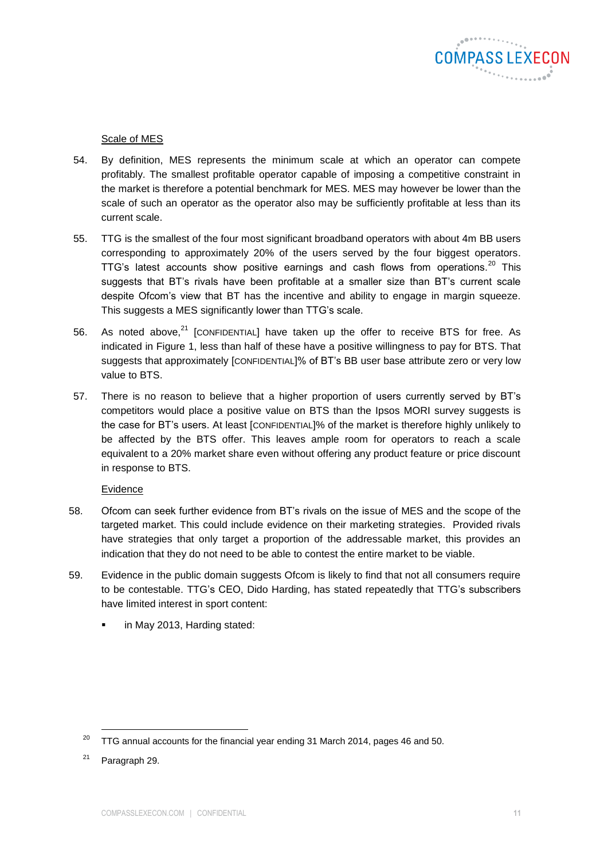

# Scale of MES

- 54. By definition, MES represents the minimum scale at which an operator can compete profitably. The smallest profitable operator capable of imposing a competitive constraint in the market is therefore a potential benchmark for MES. MES may however be lower than the scale of such an operator as the operator also may be sufficiently profitable at less than its current scale.
- 55. TTG is the smallest of the four most significant broadband operators with about 4m BB users corresponding to approximately 20% of the users served by the four biggest operators. TTG's latest accounts show positive earnings and cash flows from operations.<sup>20</sup> This suggests that BT's rivals have been profitable at a smaller size than BT's current scale despite Ofcom's view that BT has the incentive and ability to engage in margin squeeze. This suggests a MES significantly lower than TTG's scale.
- 56. As noted above, $^{21}$  [CONFIDENTIAL] have taken up the offer to receive BTS for free. As indicated in [Figure 1,](#page-5-0) less than half of these have a positive willingness to pay for BTS. That suggests that approximately [CONFIDENTIAL]% of BT's BB user base attribute zero or very low value to BTS.
- 57. There is no reason to believe that a higher proportion of users currently served by BT's competitors would place a positive value on BTS than the Ipsos MORI survey suggests is the case for BT's users. At least [CONFIDENTIAL]% of the market is therefore highly unlikely to be affected by the BTS offer. This leaves ample room for operators to reach a scale equivalent to a 20% market share even without offering any product feature or price discount in response to BTS.

#### Evidence

- 58. Ofcom can seek further evidence from BT's rivals on the issue of MES and the scope of the targeted market. This could include evidence on their marketing strategies. Provided rivals have strategies that only target a proportion of the addressable market, this provides an indication that they do not need to be able to contest the entire market to be viable.
- 59. Evidence in the public domain suggests Ofcom is likely to find that not all consumers require to be contestable. TTG's CEO, Dido Harding, has stated repeatedly that TTG's subscribers have limited interest in sport content:
	- in May 2013, Harding stated:

 $20$  TTG annual accounts for the financial year ending 31 March 2014, pages 46 and 50.

 $21$  Paragraph [29.](#page-4-0)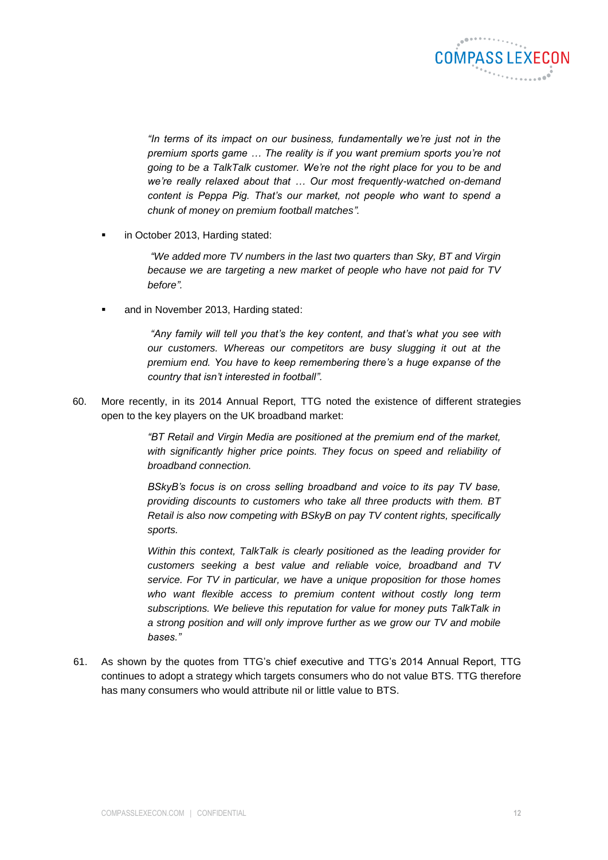

*"In terms of its impact on our business, fundamentally we're just not in the premium sports game … The reality is if you want premium sports you're not going to be a TalkTalk customer. We're not the right place for you to be and we're really relaxed about that … Our most frequently-watched on-demand content is Peppa Pig. That's our market, not people who want to spend a chunk of money on premium football matches".*

in October 2013, Harding stated:

*"We added more TV numbers in the last two quarters than Sky, BT and Virgin because we are targeting a new market of people who have not paid for TV before".*

and in November 2013, Harding stated:

*"Any family will tell you that's the key content, and that's what you see with our customers. Whereas our competitors are busy slugging it out at the premium end. You have to keep remembering there's a huge expanse of the country that isn't interested in football".* 

60. More recently, in its 2014 Annual Report, TTG noted the existence of different strategies open to the key players on the UK broadband market:

> *"BT Retail and Virgin Media are positioned at the premium end of the market, with significantly higher price points. They focus on speed and reliability of broadband connection.*

> *BSkyB's focus is on cross selling broadband and voice to its pay TV base, providing discounts to customers who take all three products with them. BT Retail is also now competing with BSkyB on pay TV content rights, specifically sports.*

> *Within this context, TalkTalk is clearly positioned as the leading provider for customers seeking a best value and reliable voice, broadband and TV service. For TV in particular, we have a unique proposition for those homes who want flexible access to premium content without costly long term subscriptions. We believe this reputation for value for money puts TalkTalk in a strong position and will only improve further as we grow our TV and mobile bases."*

61. As shown by the quotes from TTG's chief executive and TTG's 2014 Annual Report, TTG continues to adopt a strategy which targets consumers who do not value BTS. TTG therefore has many consumers who would attribute nil or little value to BTS.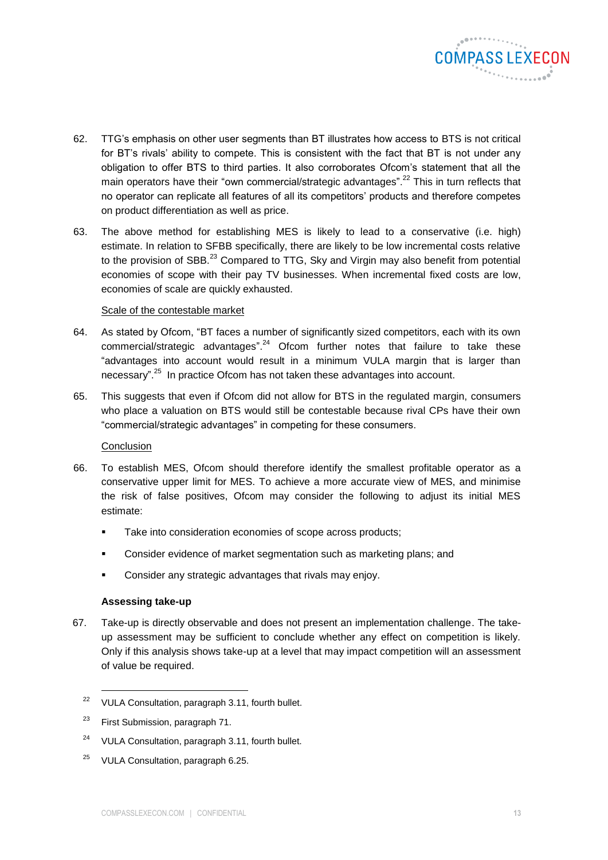

- 62. TTG's emphasis on other user segments than BT illustrates how access to BTS is not critical for BT's rivals' ability to compete. This is consistent with the fact that BT is not under any obligation to offer BTS to third parties. It also corroborates Ofcom's statement that all the main operators have their "own commercial/strategic advantages".<sup>22</sup> This in turn reflects that no operator can replicate all features of all its competitors' products and therefore competes on product differentiation as well as price.
- 63. The above method for establishing MES is likely to lead to a conservative (i.e. high) estimate. In relation to SFBB specifically, there are likely to be low incremental costs relative to the provision of SBB.<sup>23</sup> Compared to TTG, Sky and Virgin may also benefit from potential economies of scope with their pay TV businesses. When incremental fixed costs are low, economies of scale are quickly exhausted.

# Scale of the contestable market

- 64. As stated by Ofcom, "BT faces a number of significantly sized competitors, each with its own commercial/strategic advantages".<sup>24</sup> Ofcom further notes that failure to take these "advantages into account would result in a minimum VULA margin that is larger than necessary".<sup>25</sup> In practice Ofcom has not taken these advantages into account.
- 65. This suggests that even if Ofcom did not allow for BTS in the regulated margin, consumers who place a valuation on BTS would still be contestable because rival CPs have their own "commercial/strategic advantages" in competing for these consumers.

# **Conclusion**

- 66. To establish MES, Ofcom should therefore identify the smallest profitable operator as a conservative upper limit for MES. To achieve a more accurate view of MES, and minimise the risk of false positives, Ofcom may consider the following to adjust its initial MES estimate:
	- **Take into consideration economies of scope across products;**
	- **EXECONS** Consider evidence of market segmentation such as marketing plans; and
	- **Consider any strategic advantages that rivals may enjoy.**

# **Assessing take-up**

67. Take-up is directly observable and does not present an implementation challenge. The takeup assessment may be sufficient to conclude whether any effect on competition is likely. Only if this analysis shows take-up at a level that may impact competition will an assessment of value be required.

l

<sup>25</sup> VULA Consultation, paragraph 6.25.

<sup>&</sup>lt;sup>22</sup> VULA Consultation, paragraph 3.11, fourth bullet.

<sup>&</sup>lt;sup>23</sup> First Submission, paragraph 71.

<sup>24</sup> VULA Consultation, paragraph 3.11, fourth bullet.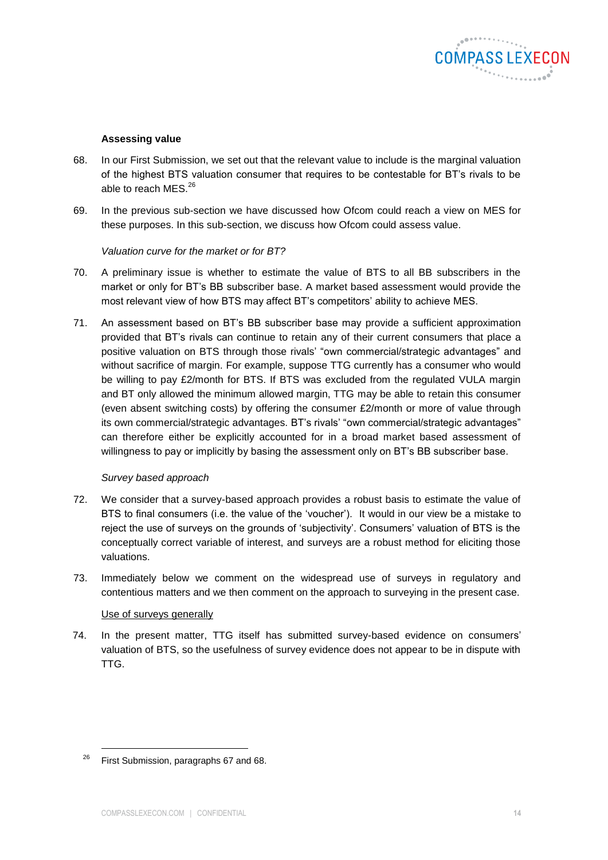

#### **Assessing value**

- 68. In our First Submission, we set out that the relevant value to include is the marginal valuation of the highest BTS valuation consumer that requires to be contestable for BT's rivals to be able to reach MES.<sup>26</sup>
- 69. In the previous sub-section we have discussed how Ofcom could reach a view on MES for these purposes. In this sub-section, we discuss how Ofcom could assess value.

#### *Valuation curve for the market or for BT?*

- 70. A preliminary issue is whether to estimate the value of BTS to all BB subscribers in the market or only for BT's BB subscriber base. A market based assessment would provide the most relevant view of how BTS may affect BT's competitors' ability to achieve MES.
- 71. An assessment based on BT's BB subscriber base may provide a sufficient approximation provided that BT's rivals can continue to retain any of their current consumers that place a positive valuation on BTS through those rivals' "own commercial/strategic advantages" and without sacrifice of margin. For example, suppose TTG currently has a consumer who would be willing to pay £2/month for BTS. If BTS was excluded from the regulated VULA margin and BT only allowed the minimum allowed margin, TTG may be able to retain this consumer (even absent switching costs) by offering the consumer £2/month or more of value through its own commercial/strategic advantages. BT's rivals' "own commercial/strategic advantages" can therefore either be explicitly accounted for in a broad market based assessment of willingness to pay or implicitly by basing the assessment only on BT's BB subscriber base.

# *Survey based approach*

- 72. We consider that a survey-based approach provides a robust basis to estimate the value of BTS to final consumers (i.e. the value of the 'voucher'). It would in our view be a mistake to reject the use of surveys on the grounds of 'subjectivity'. Consumers' valuation of BTS is the conceptually correct variable of interest, and surveys are a robust method for eliciting those valuations.
- 73. Immediately below we comment on the widespread use of surveys in regulatory and contentious matters and we then comment on the approach to surveying in the present case.

#### Use of surveys generally

74. In the present matter, TTG itself has submitted survey-based evidence on consumers' valuation of BTS, so the usefulness of survey evidence does not appear to be in dispute with TTG.

 $26$  First Submission, paragraphs 67 and 68.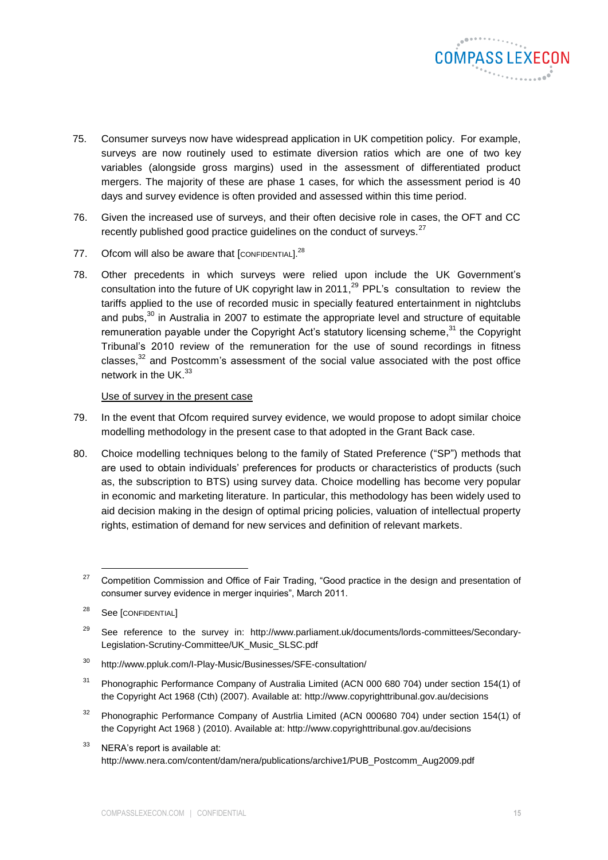

- 75. Consumer surveys now have widespread application in UK competition policy. For example, surveys are now routinely used to estimate diversion ratios which are one of two key variables (alongside gross margins) used in the assessment of differentiated product mergers. The majority of these are phase 1 cases, for which the assessment period is 40 days and survey evidence is often provided and assessed within this time period.
- 76. Given the increased use of surveys, and their often decisive role in cases, the OFT and CC recently published good practice guidelines on the conduct of surveys. $27$
- 77. Ofcom will also be aware that  $[{\rm Conflb}^{\rm 28}]$
- 78. Other precedents in which surveys were relied upon include the UK Government's consultation into the future of UK copyright law in 2011, $^{29}$  PPL's consultation to review the tariffs applied to the use of recorded music in specially featured entertainment in nightclubs and pubs, $30$  in Australia in 2007 to estimate the appropriate level and structure of equitable remuneration payable under the Copyright Act's statutory licensing scheme,<sup>31</sup> the Copyright Tribunal's 2010 review of the remuneration for the use of sound recordings in fitness classes, $^{32}$  and Postcomm's assessment of the social value associated with the post office network in the UK.<sup>33</sup>

#### Use of survey in the present case

- 79. In the event that Ofcom required survey evidence, we would propose to adopt similar choice modelling methodology in the present case to that adopted in the Grant Back case.
- 80. Choice modelling techniques belong to the family of Stated Preference ("SP") methods that are used to obtain individuals' preferences for products or characteristics of products (such as, the subscription to BTS) using survey data. Choice modelling has become very popular in economic and marketing literature. In particular, this methodology has been widely used to aid decision making in the design of optimal pricing policies, valuation of intellectual property rights, estimation of demand for new services and definition of relevant markets.

- <sup>30</sup> <http://www.ppluk.com/I-Play-Music/Businesses/SFE-consultation/>
- <sup>31</sup> Phonographic Performance Company of Australia Limited (ACN 000 680 704) under section 154(1) of the Copyright Act 1968 (Cth) (2007). Available at:<http://www.copyrighttribunal.gov.au/decisions>
- <sup>32</sup> Phonographic Performance Company of Austrlia Limited (ACN 000680 704) under section 154(1) of the Copyright Act 1968 ) (2010). Available at:<http://www.copyrighttribunal.gov.au/decisions>
- <sup>33</sup> NERA's report is available at: [http://www.nera.com/content/dam/nera/publications/archive1/PUB\\_Postcomm\\_Aug2009.pdf](http://www.nera.com/content/dam/nera/publications/archive1/PUB_Postcomm_Aug2009.pdf)

<sup>&</sup>lt;sup>27</sup> Competition Commission and Office of Fair Trading, "Good practice in the design and presentation of consumer survey evidence in merger inquiries", March 2011.

<sup>&</sup>lt;sup>28</sup> See [CONFIDENTIAL]

<sup>&</sup>lt;sup>29</sup> See reference to the survey in: http://www.parliament.uk/documents/lords-committees/Secondary-Legislation-Scrutiny-Committee/UK\_Music\_SLSC.pdf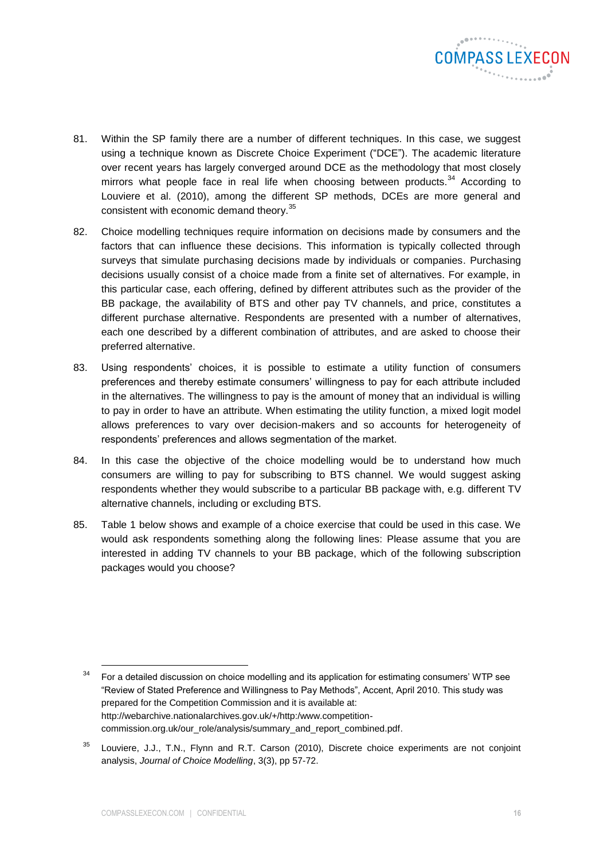

- 81. Within the SP family there are a number of different techniques. In this case, we suggest using a technique known as Discrete Choice Experiment ("DCE"). The academic literature over recent years has largely converged around DCE as the methodology that most closely mirrors what people face in real life when choosing between products.<sup>34</sup> According to Louviere et al. (2010), among the different SP methods, DCEs are more general and consistent with economic demand theory.<sup>35</sup>
- 82. Choice modelling techniques require information on decisions made by consumers and the factors that can influence these decisions. This information is typically collected through surveys that simulate purchasing decisions made by individuals or companies. Purchasing decisions usually consist of a choice made from a finite set of alternatives. For example, in this particular case, each offering, defined by different attributes such as the provider of the BB package, the availability of BTS and other pay TV channels, and price, constitutes a different purchase alternative. Respondents are presented with a number of alternatives, each one described by a different combination of attributes, and are asked to choose their preferred alternative.
- 83. Using respondents' choices, it is possible to estimate a utility function of consumers preferences and thereby estimate consumers' willingness to pay for each attribute included in the alternatives. The willingness to pay is the amount of money that an individual is willing to pay in order to have an attribute. When estimating the utility function, a mixed logit model allows preferences to vary over decision-makers and so accounts for heterogeneity of respondents' preferences and allows segmentation of the market.
- 84. In this case the objective of the choice modelling would be to understand how much consumers are willing to pay for subscribing to BTS channel. We would suggest asking respondents whether they would subscribe to a particular BB package with, e.g. different TV alternative channels, including or excluding BTS.
- 85. [Table 1](#page-16-0) below shows and example of a choice exercise that could be used in this case. We would ask respondents something along the following lines: Please assume that you are interested in adding TV channels to your BB package, which of the following subscription packages would you choose?

 $34$  For a detailed discussion on choice modelling and its application for estimating consumers' WTP see "Review of Stated Preference and Willingness to Pay Methods", Accent, April 2010. This study was prepared for the Competition Commission and it is available at: [http://webarchive.nationalarchives.gov.uk/+/http:/www.competition](http://webarchive.nationalarchives.gov.uk/+/http:/www.competition-commission.org.uk/our_role/analysis/summary_and_report_combined.pdf)[commission.org.uk/our\\_role/analysis/summary\\_and\\_report\\_combined.pdf.](http://webarchive.nationalarchives.gov.uk/+/http:/www.competition-commission.org.uk/our_role/analysis/summary_and_report_combined.pdf)

<sup>&</sup>lt;sup>35</sup> Louviere, J.J., T.N., Flynn and R.T. Carson (2010), Discrete choice experiments are not conjoint analysis, *Journal of Choice Modelling*, 3(3), pp 57-72.